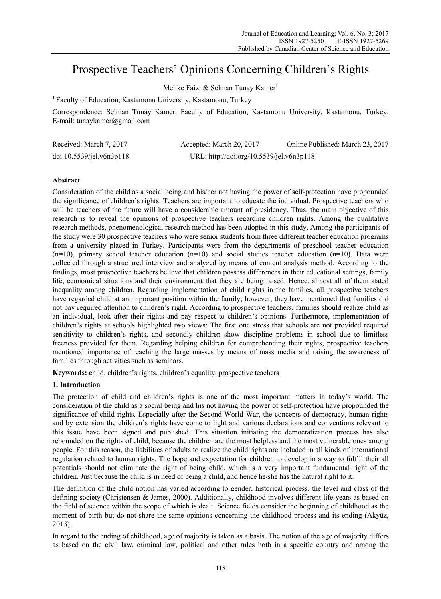# Prospective Teachers' Opinions Concerning Children's Rights

Melike Faiz $^1$  & Selman Tunay Kamer $^1$ 

1 Faculty of Education, Kastamonu University, Kastamonu, Turkey

Correspondence: Selman Tunay Kamer, Faculty of Education, Kastamonu University, Kastamonu, Turkey. E-mail: tunaykamer@gmail.com

| Received: March 7, 2017  | Accepted: March 20, 2017                 | Online Published: March 23, 2017 |
|--------------------------|------------------------------------------|----------------------------------|
| doi:10.5539/jet.v6n3p118 | URL: http://doi.org/10.5539/jel.v6n3p118 |                                  |

# **Abstract**

Consideration of the child as a social being and his/her not having the power of self-protection have propounded the significance of children's rights. Teachers are important to educate the individual. Prospective teachers who will be teachers of the future will have a considerable amount of presidency. Thus, the main objective of this research is to reveal the opinions of prospective teachers regarding children rights. Among the qualitative research methods, phenomenological research method has been adopted in this study. Among the participants of the study were 30 prospective teachers who were senior students from three different teacher education programs from a university placed in Turkey. Participants were from the departments of preschool teacher education  $(n=10)$ , primary school teacher education  $(n=10)$  and social studies teacher education  $(n=10)$ . Data were collected through a structured interview and analyzed by means of content analysis method. According to the findings, most prospective teachers believe that children possess differences in their educational settings, family life, economical situations and their environment that they are being raised. Hence, almost all of them stated inequality among children. Regarding implementation of child rights in the families, all prospective teachers have regarded child at an important position within the family; however, they have mentioned that families did not pay required attention to children's right. According to prospective teachers, families should realize child as an individual, look after their rights and pay respect to children's opinions. Furthermore, implementation of children's rights at schools highlighted two views: The first one stress that schools are not provided required sensitivity to children's rights, and secondly children show discipline problems in school due to limitless freeness provided for them. Regarding helping children for comprehending their rights, prospective teachers mentioned importance of reaching the large masses by means of mass media and raising the awareness of families through activities such as seminars.

**Keywords:** child, children's rights, children's equality, prospective teachers

# **1. Introduction**

The protection of child and children's rights is one of the most important matters in today's world. The consideration of the child as a social being and his not having the power of self-protection have propounded the significance of child rights. Especially after the Second World War, the concepts of democracy, human rights and by extension the children's rights have come to light and various declarations and conventions relevant to this issue have been signed and published. This situation initiating the democratization process has also rebounded on the rights of child, because the children are the most helpless and the most vulnerable ones among people. For this reason, the liabilities of adults to realize the child rights are included in all kinds of international regulation related to human rights. The hope and expectation for children to develop in a way to fulfill their all potentials should not eliminate the right of being child, which is a very important fundamental right of the children. Just because the child is in need of being a child, and hence he/she has the natural right to it.

The definition of the child notion has varied according to gender, historical process, the level and class of the defining society (Christensen & James, 2000). Additionally, childhood involves different life years as based on the field of science within the scope of which is dealt. Science fields consider the beginning of childhood as the moment of birth but do not share the same opinions concerning the childhood process and its ending (Akyüz, 2013).

In regard to the ending of childhood, age of majority is taken as a basis. The notion of the age of majority differs as based on the civil law, criminal law, political and other rules both in a specific country and among the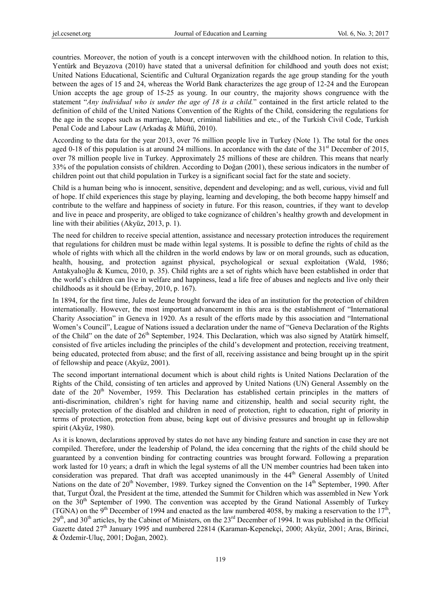countries. Moreover, the notion of youth is a concept interwoven with the childhood notion. In relation to this, Yentürk and Beyazova (2010) have stated that a universal definition for childhood and youth does not exist; United Nations Educational, Scientific and Cultural Organization regards the age group standing for the youth between the ages of 15 and 24, whereas the World Bank characterizes the age group of 12-24 and the European Union accepts the age group of 15-25 as young. In our country, the majority shows congruence with the statement "*Any individual who is under the age of 18 is a child.*" contained in the first article related to the definition of child of the United Nations Convention of the Rights of the Child, considering the regulations for the age in the scopes such as marriage, labour, criminal liabilities and etc., of the Turkish Civil Code, Turkish Penal Code and Labour Law (Arkadaş & Müftü, 2010).

According to the data for the year 2013, over 76 million people live in Turkey (Note 1). The total for the ones aged 0-18 of this population is at around 24 millions. In accordance with the date of the  $31<sup>st</sup>$  December of 2015, over 78 million people live in Turkey. Approximately 25 millions of these are children. This means that nearly 33% of the population consists of children. According to Doğan (2001), these serious indicators in the number of children point out that child population in Turkey is a significant social fact for the state and society.

Child is a human being who is innocent, sensitive, dependent and developing; and as well, curious, vivid and full of hope. If child experiences this stage by playing, learning and developing, the both become happy himself and contribute to the welfare and happiness of society in future. For this reason, countries, if they want to develop and live in peace and prosperity, are obliged to take cognizance of children's healthy growth and development in line with their abilities (Akyüz, 2013, p. 1).

The need for children to receive special attention, assistance and necessary protection introduces the requirement that regulations for children must be made within legal systems. It is possible to define the rights of child as the whole of rights with which all the children in the world endows by law or on moral grounds, such as education, health, housing, and protection against physical, psychological or sexual exploitation (Wald, 1986; Antakyalıoğlu & Kumcu, 2010, p. 35). Child rights are a set of rights which have been established in order that the world's children can live in welfare and happiness, lead a life free of abuses and neglects and live only their childhoods as it should be (Erbay, 2010, p. 167).

In 1894, for the first time, Jules de Jeune brought forward the idea of an institution for the protection of children internationally. However, the most important advancement in this area is the establishment of "International Charity Association" in Geneva in 1920. As a result of the efforts made by this association and "International Women's Council", League of Nations issued a declaration under the name of "Geneva Declaration of the Rights of the Child" on the date of  $26<sup>th</sup>$  September, 1924. This Declaration, which was also signed by Atatürk himself, consisted of five articles including the principles of the child's development and protection, receiving treatment, being educated, protected from abuse; and the first of all, receiving assistance and being brought up in the spirit of fellowship and peace (Akyüz, 2001).

The second important international document which is about child rights is United Nations Declaration of the Rights of the Child, consisting of ten articles and approved by United Nations (UN) General Assembly on the date of the 20<sup>th</sup> November, 1959. This Declaration has established certain principles in the matters of anti-discrimination, children's right for having name and citizenship, health and social security right, the specially protection of the disabled and children in need of protection, right to education, right of priority in terms of protection, protection from abuse, being kept out of divisive pressures and brought up in fellowship spirit (Akyüz, 1980).

As it is known, declarations approved by states do not have any binding feature and sanction in case they are not compiled. Therefore, under the leadership of Poland, the idea concerning that the rights of the child should be guaranteed by a convention binding for contracting countries was brought forward. Following a preparation work lasted for 10 years; a draft in which the legal systems of all the UN member countries had been taken into consideration was prepared. That draft was accepted unanimously in the 44<sup>th</sup> General Assembly of United Nations on the date of 20<sup>th</sup> November, 1989. Turkey signed the Convention on the 14<sup>th</sup> September, 1990. After that, Turgut Özal, the President at the time, attended the Summit for Children which was assembled in New York on the 30<sup>th</sup> September of 1990. The convention was accepted by the Grand National Assembly of Turkey (TGNA) on the 9<sup>th</sup> December of 1994 and enacted as the law numbered 4058, by making a reservation to the  $17<sup>th</sup>$ ,  $29<sup>th</sup>$ , and  $30<sup>th</sup>$  articles, by the Cabinet of Ministers, on the  $23<sup>rd</sup>$  December of 1994. It was published in the Official Gazette dated 27th January 1995 and numbered 22814 (Karaman-Kepenekçi, 2000; Akyüz, 2001; Aras, Birinci, & Özdemir-Uluç, 2001; Doğan, 2002).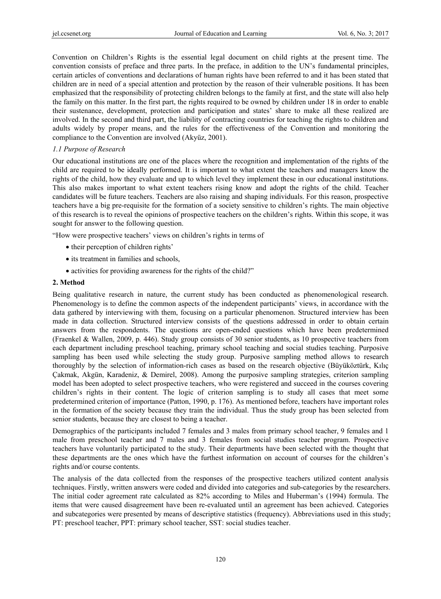Convention on Children's Rights is the essential legal document on child rights at the present time. The convention consists of preface and three parts. In the preface, in addition to the UN's fundamental principles, certain articles of conventions and declarations of human rights have been referred to and it has been stated that children are in need of a special attention and protection by the reason of their vulnerable positions. It has been emphasized that the responsibility of protecting children belongs to the family at first, and the state will also help the family on this matter. In the first part, the rights required to be owned by children under 18 in order to enable their sustenance, development, protection and participation and states' share to make all these realized are involved. In the second and third part, the liability of contracting countries for teaching the rights to children and adults widely by proper means, and the rules for the effectiveness of the Convention and monitoring the compliance to the Convention are involved (Akyüz, 2001).

## *1.1 Purpose of Research*

Our educational institutions are one of the places where the recognition and implementation of the rights of the child are required to be ideally performed. It is important to what extent the teachers and managers know the rights of the child, how they evaluate and up to which level they implement these in our educational institutions. This also makes important to what extent teachers rising know and adopt the rights of the child. Teacher candidates will be future teachers. Teachers are also raising and shaping individuals. For this reason, prospective teachers have a big pre-requisite for the formation of a society sensitive to children's rights. The main objective of this research is to reveal the opinions of prospective teachers on the children's rights. Within this scope, it was sought for answer to the following question.

"How were prospective teachers' views on children's rights in terms of

- their perception of children rights'
- its treatment in families and schools,
- activities for providing awareness for the rights of the child?"

#### **2. Method**

Being qualitative research in nature, the current study has been conducted as phenomenological research. Phenomenology is to define the common aspects of the independent participants' views, in accordance with the data gathered by interviewing with them, focusing on a particular phenomenon. Structured interview has been made in data collection. Structured interview consists of the questions addressed in order to obtain certain answers from the respondents. The questions are open-ended questions which have been predetermined (Fraenkel & Wallen, 2009, p. 446). Study group consists of 30 senior students, as 10 prospective teachers from each department including preschool teaching, primary school teaching and social studies teaching. Purposive sampling has been used while selecting the study group. Purposive sampling method allows to research thoroughly by the selection of information-rich cases as based on the research objective (Büyüköztürk, Kılıç Çakmak, Akgün, Karadeniz, & Demirel, 2008). Among the purposive sampling strategies, criterion sampling model has been adopted to select prospective teachers, who were registered and succeed in the courses covering children's rights in their content. The logic of criterion sampling is to study all cases that meet some predetermined criterion of importance (Patton, 1990, p. 176). As mentioned before, teachers have important roles in the formation of the society because they train the individual. Thus the study group has been selected from senior students, because they are closest to being a teacher.

Demographics of the participants included 7 females and 3 males from primary school teacher, 9 females and 1 male from preschool teacher and 7 males and 3 females from social studies teacher program. Prospective teachers have voluntarily participated to the study. Their departments have been selected with the thought that these departments are the ones which have the furthest information on account of courses for the children's rights and/or course contents.

The analysis of the data collected from the responses of the prospective teachers utilized content analysis techniques. Firstly, written answers were coded and divided into categories and sub-categories by the researchers. The initial coder agreement rate calculated as 82% according to Miles and Huberman's (1994) formula. The items that were caused disagreement have been re-evaluated until an agreement has been achieved. Categories and subcategories were presented by means of descriptive statistics (frequency). Abbreviations used in this study; PT: preschool teacher, PPT: primary school teacher, SST: social studies teacher.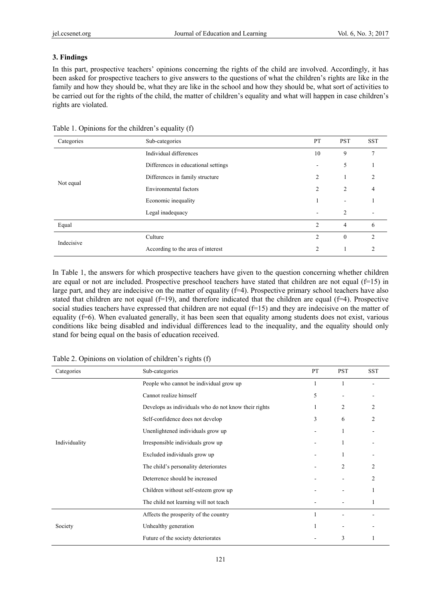## **3. Findings**

In this part, prospective teachers' opinions concerning the rights of the child are involved. Accordingly, it has been asked for prospective teachers to give answers to the questions of what the children's rights are like in the family and how they should be, what they are like in the school and how they should be, what sort of activities to be carried out for the rights of the child, the matter of children's equality and what will happen in case children's rights are violated.

| Categories | Sub-categories                      | PT             | <b>PST</b>     | <b>SST</b>     |
|------------|-------------------------------------|----------------|----------------|----------------|
|            | Individual differences              | 10             | 9              | $\overline{7}$ |
|            | Differences in educational settings |                | 5              |                |
|            | Differences in family structure     | $\overline{c}$ | 1              | C              |
| Not equal  | Environmental factors               | 2              | 2              | 4              |
|            | Economic inequality                 |                |                |                |
|            | Legal inadequacy                    |                | 2              |                |
| Equal      |                                     | $\overline{c}$ | $\overline{4}$ | 6              |
| Indecisive | Culture                             | $\overline{2}$ | $\mathbf{0}$   | $\mathfrak{D}$ |
|            | According to the area of interest   | 2              | 1              | $\mathfrak{D}$ |

In Table 1, the answers for which prospective teachers have given to the question concerning whether children are equal or not are included. Prospective preschool teachers have stated that children are not equal  $(f=15)$  in large part, and they are indecisive on the matter of equality  $(f=4)$ . Prospective primary school teachers have also stated that children are not equal ( $f=19$ ), and therefore indicated that the children are equal ( $f=4$ ). Prospective social studies teachers have expressed that children are not equal (f=15) and they are indecisive on the matter of equality  $(f=6)$ . When evaluated generally, it has been seen that equality among students does not exist, various conditions like being disabled and individual differences lead to the inequality, and the equality should only stand for being equal on the basis of education received.

| Categories    | Sub-categories                                       | PT | <b>PST</b>     | <b>SST</b>     |
|---------------|------------------------------------------------------|----|----------------|----------------|
|               | People who cannot be individual grow up              |    |                |                |
|               | Cannot realize himself                               | 5  |                |                |
|               | Develops as individuals who do not know their rights |    | $\overline{c}$ | 2              |
|               | Self-confidence does not develop                     | 3  | 6              | $\overline{2}$ |
|               | Unenlightened individuals grow up                    |    |                |                |
| Individuality | Irresponsible individuals grow up                    |    | 1              |                |
|               | Excluded individuals grow up                         |    |                |                |
|               | The child's personality deteriorates                 | ۰  | $\overline{c}$ | 2              |
|               | Deterrence should be increased                       |    |                | 2              |
|               | Children without self-esteem grow up                 |    |                |                |
|               | The child not learning will not teach                |    |                |                |
|               | Affects the prosperity of the country                |    |                |                |
| Society       | Unhealthy generation                                 | 1  |                |                |
|               | Future of the society deteriorates                   |    | 3              |                |

Table 2. Opinions on violation of children's rights (f)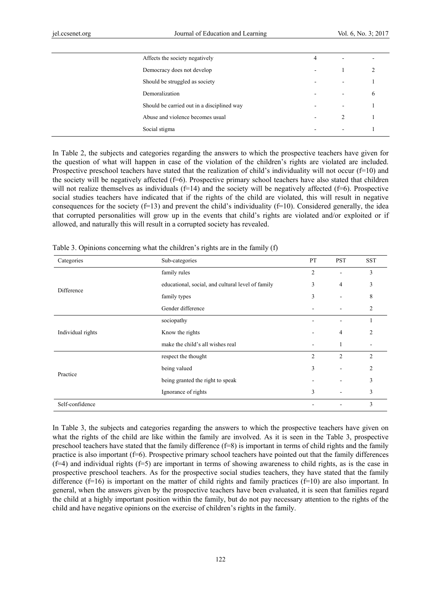| Affects the society negatively             | 4                        | $\overline{\phantom{a}}$ |   |
|--------------------------------------------|--------------------------|--------------------------|---|
| Democracy does not develop                 | $\overline{\phantom{a}}$ |                          |   |
| Should be struggled as society             | $\qquad \qquad$          | $\overline{\phantom{a}}$ |   |
| Demoralization                             | ۰                        | $\overline{\phantom{a}}$ | 6 |
| Should be carried out in a disciplined way | $\overline{\phantom{a}}$ | $\overline{\phantom{a}}$ |   |
| Abuse and violence becomes usual           | ۰                        | 2                        |   |
| Social stigma                              | ٠                        | $\overline{\phantom{a}}$ |   |

In Table 2, the subjects and categories regarding the answers to which the prospective teachers have given for the question of what will happen in case of the violation of the children's rights are violated are included. Prospective preschool teachers have stated that the realization of child's individuality will not occur ( $f=10$ ) and the society will be negatively affected  $(f=6)$ . Prospective primary school teachers have also stated that children will not realize themselves as individuals ( $f=14$ ) and the society will be negatively affected ( $f=6$ ). Prospective social studies teachers have indicated that if the rights of the child are violated, this will result in negative consequences for the society ( $f=13$ ) and prevent the child's individuality ( $f=10$ ). Considered generally, the idea that corrupted personalities will grow up in the events that child's rights are violated and/or exploited or if allowed, and naturally this will result in a corrupted society has revealed.

| Categories        | Sub-categories                                    | <b>PT</b>                | <b>PST</b>     | <b>SST</b>     |
|-------------------|---------------------------------------------------|--------------------------|----------------|----------------|
|                   | family rules                                      | $\overline{2}$           |                | 3              |
| Difference        | educational, social, and cultural level of family | 3                        | 4              | 3              |
|                   | family types                                      | 3                        | ۰              | 8              |
|                   | Gender difference                                 |                          |                | 2              |
|                   | sociopathy                                        |                          |                |                |
| Individual rights | Know the rights                                   |                          | 4              | $\mathfrak{D}$ |
|                   | make the child's all wishes real                  | $\overline{\phantom{a}}$ |                |                |
|                   | respect the thought                               | $\overline{2}$           | $\overline{2}$ | $\overline{c}$ |
| Practice          | being valued                                      | 3                        |                | C              |
|                   | being granted the right to speak                  |                          | ۰              | 3              |
|                   | Ignorance of rights                               | 3                        | ۰              | 3              |
| Self-confidence   |                                                   |                          |                | 3              |

Table 3. Opinions concerning what the children's rights are in the family (f)

In Table 3, the subjects and categories regarding the answers to which the prospective teachers have given on what the rights of the child are like within the family are involved. As it is seen in the Table 3, prospective preschool teachers have stated that the family difference (f=8) is important in terms of child rights and the family practice is also important  $(f=6)$ . Prospective primary school teachers have pointed out that the family differences  $(f=4)$  and individual rights  $(f=5)$  are important in terms of showing awareness to child rights, as is the case in prospective preschool teachers. As for the prospective social studies teachers, they have stated that the family difference  $(f=16)$  is important on the matter of child rights and family practices  $(f=10)$  are also important. In general, when the answers given by the prospective teachers have been evaluated, it is seen that families regard the child at a highly important position within the family, but do not pay necessary attention to the rights of the child and have negative opinions on the exercise of children's rights in the family.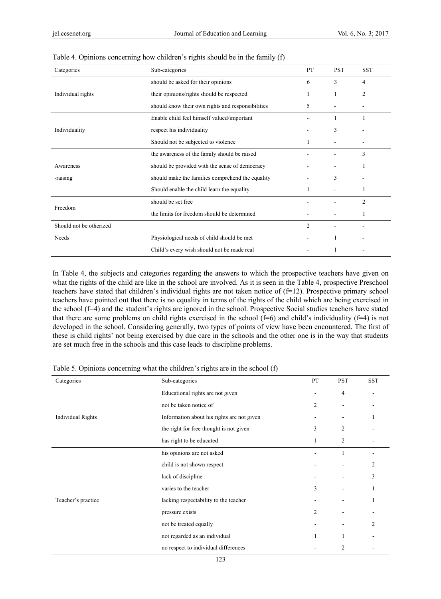| Categories              | Sub-categories                                    | PT             | <b>PST</b>     | <b>SST</b>     |
|-------------------------|---------------------------------------------------|----------------|----------------|----------------|
|                         | should be asked for their opinions                | 6              | 3              | $\overline{4}$ |
| Individual rights       | their opinions/rights should be respected         | 1              | 1              | $\overline{2}$ |
|                         | should know their own rights and responsibilities | 5              |                |                |
|                         | Enable child feel himself valued/important        |                |                |                |
| Individuality           | respect his individuality                         |                | 3              |                |
|                         | Should not be subjected to violence               | 1              |                |                |
|                         | the awareness of the family should be raised      |                |                | 3              |
| Awareness               | should be provided with the sense of democracy    |                |                |                |
| -raising                | should make the families comprehend the equality  |                | 3              |                |
|                         | Should enable the child learn the equality        |                | $\overline{a}$ |                |
| Freedom                 | should be set free                                |                |                | $\overline{2}$ |
|                         | the limits for freedom should be determined       |                |                |                |
| Should not be otherized |                                                   | $\overline{2}$ |                |                |
| Needs                   | Physiological needs of child should be met        |                | 1              |                |
|                         | Child's every wish should not be made real        |                |                |                |

Table 4. Opinions concerning how children's rights should be in the family (f)

In Table 4, the subjects and categories regarding the answers to which the prospective teachers have given on what the rights of the child are like in the school are involved. As it is seen in the Table 4, prospective Preschool teachers have stated that children's individual rights are not taken notice of (f=12). Prospective primary school teachers have pointed out that there is no equality in terms of the rights of the child which are being exercised in the school (f=4) and the student's rights are ignored in the school. Prospective Social studies teachers have stated that there are some problems on child rights exercised in the school  $(f=6)$  and child's individuality  $(f=4)$  is not developed in the school. Considering generally, two types of points of view have been encountered. The first of these is child rights' not being exercised by due care in the schools and the other one is in the way that students are set much free in the schools and this case leads to discipline problems.

| Categories               | Sub-categories                             | PT             | <b>PST</b>     | <b>SST</b>     |
|--------------------------|--------------------------------------------|----------------|----------------|----------------|
|                          | Educational rights are not given           |                | 4              |                |
|                          | not be taken notice of                     | $\overline{2}$ |                |                |
| <b>Individual Rights</b> | Information about his rights are not given |                |                |                |
|                          | the right for free thought is not given    | 3              | $\overline{2}$ |                |
|                          | has right to be educated                   | 1              | $\overline{2}$ |                |
|                          | his opinions are not asked                 |                |                |                |
|                          | child is not shown respect                 |                |                | 2              |
|                          | lack of discipline                         |                |                | 3              |
|                          | varies to the teacher                      | 3              | ۰              |                |
| Teacher's practice       | lacking respectability to the teacher      |                |                |                |
|                          | pressure exists                            | $\overline{2}$ |                |                |
|                          | not be treated equally                     |                |                | $\overline{c}$ |
|                          | not regarded as an individual              | 1              | 1              |                |
|                          | no respect to individual differences       |                | $\overline{2}$ |                |

Table 5. Opinions concerning what the children's rights are in the school (f)

123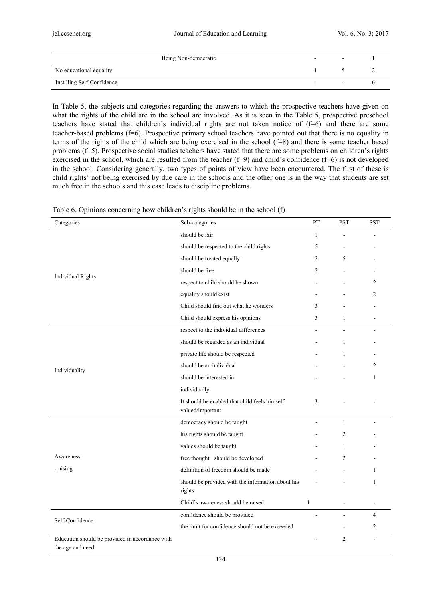| Being Non-democratic       | $\overline{\phantom{0}}$ | $\overline{\phantom{a}}$ |  |
|----------------------------|--------------------------|--------------------------|--|
| No educational equality    |                          |                          |  |
| Instilling Self-Confidence | $\sim$                   |                          |  |

In Table 5, the subjects and categories regarding the answers to which the prospective teachers have given on what the rights of the child are in the school are involved. As it is seen in the Table 5, prospective preschool teachers have stated that children's individual rights are not taken notice of (f=6) and there are some teacher-based problems (f=6). Prospective primary school teachers have pointed out that there is no equality in terms of the rights of the child which are being exercised in the school (f=8) and there is some teacher based problems (f=5). Prospective social studies teachers have stated that there are some problems on children's rights exercised in the school, which are resulted from the teacher  $(f=9)$  and child's confidence  $(f=6)$  is not developed in the school. Considering generally, two types of points of view have been encountered. The first of these is child rights' not being exercised by due care in the schools and the other one is in the way that students are set much free in the schools and this case leads to discipline problems.

| Categories                                                          | Sub-categories                                                    | PT             | <b>PST</b>     | <b>SST</b> |
|---------------------------------------------------------------------|-------------------------------------------------------------------|----------------|----------------|------------|
|                                                                     | should be fair                                                    | $\mathbf{1}$   |                |            |
|                                                                     | should be respected to the child rights                           | 5              |                |            |
|                                                                     | should be treated equally                                         | $\overline{2}$ | 5              |            |
|                                                                     | should be free                                                    | 2              |                |            |
| <b>Individual Rights</b>                                            | respect to child should be shown                                  |                |                | 2          |
|                                                                     | equality should exist                                             |                |                | 2          |
|                                                                     | Child should find out what he wonders                             | 3              |                |            |
|                                                                     | Child should express his opinions                                 | 3              | $\mathbf{1}$   |            |
|                                                                     | respect to the individual differences                             | $\blacksquare$ | $\blacksquare$ |            |
|                                                                     | should be regarded as an individual                               |                | 1              |            |
|                                                                     | private life should be respected                                  |                | 1              |            |
| Individuality                                                       | should be an individual                                           |                |                | 2          |
|                                                                     | should be interested in                                           |                |                | 1          |
|                                                                     | individually                                                      |                |                |            |
|                                                                     | It should be enabled that child feels himself<br>valued/important | 3              |                |            |
|                                                                     | democracy should be taught                                        |                | $\mathbf{1}$   |            |
|                                                                     | his rights should be taught                                       |                | $\overline{2}$ |            |
|                                                                     | values should be taught                                           |                | 1              |            |
| Awareness                                                           | free thought should be developed                                  |                | $\overline{2}$ |            |
| -raising                                                            | definition of freedom should be made                              |                |                | 1          |
|                                                                     | should be provided with the information about his<br>rights       |                |                | 1          |
|                                                                     | Child's awareness should be raised                                | 1              |                |            |
|                                                                     | confidence should be provided                                     | ٠              |                | 4          |
| Self-Confidence                                                     | the limit for confidence should not be exceeded                   |                | ۰              | 2          |
| Education should be provided in accordance with<br>the age and need |                                                                   |                | $\overline{2}$ |            |

Table 6. Opinions concerning how children's rights should be in the school (f)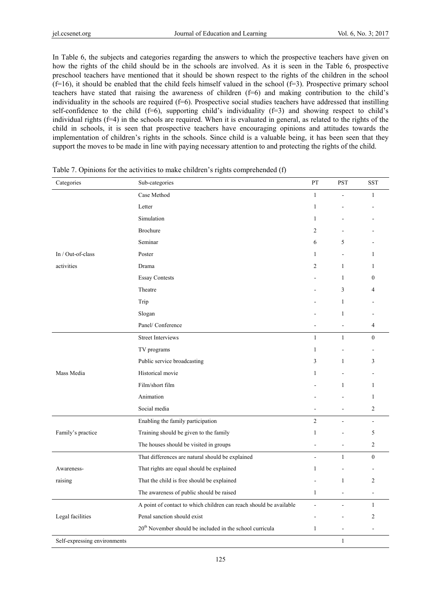In Table 6, the subjects and categories regarding the answers to which the prospective teachers have given on how the rights of the child should be in the schools are involved. As it is seen in the Table 6, prospective preschool teachers have mentioned that it should be shown respect to the rights of the children in the school  $(f=16)$ , it should be enabled that the child feels himself valued in the school  $(f=3)$ . Prospective primary school teachers have stated that raising the awareness of children (f=6) and making contribution to the child's individuality in the schools are required  $(f=6)$ . Prospective social studies teachers have addressed that instilling self-confidence to the child  $(f=6)$ , supporting child's individuality  $(f=3)$  and showing respect to child's individual rights  $(f=4)$  in the schools are required. When it is evaluated in general, as related to the rights of the child in schools, it is seen that prospective teachers have encouraging opinions and attitudes towards the implementation of children's rights in the schools. Since child is a valuable being, it has been seen that they support the moves to be made in line with paying necessary attention to and protecting the rights of the child.

| Case Method<br>$\mathbf{1}$<br>1<br>L<br>Letter<br>$\mathbf{1}$<br>Simulation<br>$\mathbf{1}$<br><b>Brochure</b><br>$\overline{2}$<br>Seminar<br>5<br>6<br>In / Out-of-class<br>Poster<br>$\mathbf{1}$<br>$\mathbf{1}$<br>$\overline{c}$<br>activities<br>Drama<br>1<br>1<br><b>Essay Contests</b><br>$\Omega$<br>1<br>Theatre<br>3<br>4<br>Trip<br>$\mathbf{1}$<br>Slogan<br>$\mathbf{1}$<br>Panel/Conference<br>4<br>÷.<br>٠<br><b>Street Interviews</b><br>$\mathbf{1}$<br>$\mathbf{1}$<br>$\overline{0}$<br>TV programs<br>$\mathbf{1}$<br>$\overline{a}$<br>Public service broadcasting<br>3<br>$\mathbf{1}$<br>3<br>Mass Media<br>Historical movie<br>$\mathbf{1}$<br>Film/short film<br>1<br>1<br>Animation<br>1<br>Social media<br>$\overline{2}$<br>$\overline{2}$<br>Enabling the family participation<br>$\overline{a}$<br>Family's practice<br>Training should be given to the family<br>$\mathbf{1}$<br>5<br>$\overline{2}$<br>The houses should be visited in groups<br>That differences are natural should be explained<br>$\mathbf{1}$<br>$\overline{0}$<br>$\blacksquare$<br>That rights are equal should be explained<br>$\mathbf{1}$<br>Awareness-<br>That the child is free should be explained<br>$\mathbf{1}$<br>$\overline{c}$<br>raising<br>The awareness of public should be raised<br>$\mathbf{1}$<br>$\overline{a}$<br>$\blacksquare$<br>A point of contact to which children can reach should be available<br>$\mathbf{1}$<br>$\overline{a}$<br>÷.<br>Legal facilities<br>Penal sanction should exist<br>2<br>20 <sup>th</sup> November should be included in the school curricula<br>$\mathbf{1}$<br>$\overline{a}$<br>$\overline{\phantom{a}}$<br>Self-expressing environments<br>$\mathbf{1}$ | Categories | Sub-categories | PT | <b>PST</b> | <b>SST</b> |
|------------------------------------------------------------------------------------------------------------------------------------------------------------------------------------------------------------------------------------------------------------------------------------------------------------------------------------------------------------------------------------------------------------------------------------------------------------------------------------------------------------------------------------------------------------------------------------------------------------------------------------------------------------------------------------------------------------------------------------------------------------------------------------------------------------------------------------------------------------------------------------------------------------------------------------------------------------------------------------------------------------------------------------------------------------------------------------------------------------------------------------------------------------------------------------------------------------------------------------------------------------------------------------------------------------------------------------------------------------------------------------------------------------------------------------------------------------------------------------------------------------------------------------------------------------------------------------------------------------------------------------------------------------------------------------------------------------------------------|------------|----------------|----|------------|------------|
|                                                                                                                                                                                                                                                                                                                                                                                                                                                                                                                                                                                                                                                                                                                                                                                                                                                                                                                                                                                                                                                                                                                                                                                                                                                                                                                                                                                                                                                                                                                                                                                                                                                                                                                              |            |                |    |            |            |
|                                                                                                                                                                                                                                                                                                                                                                                                                                                                                                                                                                                                                                                                                                                                                                                                                                                                                                                                                                                                                                                                                                                                                                                                                                                                                                                                                                                                                                                                                                                                                                                                                                                                                                                              |            |                |    |            |            |
|                                                                                                                                                                                                                                                                                                                                                                                                                                                                                                                                                                                                                                                                                                                                                                                                                                                                                                                                                                                                                                                                                                                                                                                                                                                                                                                                                                                                                                                                                                                                                                                                                                                                                                                              |            |                |    |            |            |
|                                                                                                                                                                                                                                                                                                                                                                                                                                                                                                                                                                                                                                                                                                                                                                                                                                                                                                                                                                                                                                                                                                                                                                                                                                                                                                                                                                                                                                                                                                                                                                                                                                                                                                                              |            |                |    |            |            |
|                                                                                                                                                                                                                                                                                                                                                                                                                                                                                                                                                                                                                                                                                                                                                                                                                                                                                                                                                                                                                                                                                                                                                                                                                                                                                                                                                                                                                                                                                                                                                                                                                                                                                                                              |            |                |    |            |            |
|                                                                                                                                                                                                                                                                                                                                                                                                                                                                                                                                                                                                                                                                                                                                                                                                                                                                                                                                                                                                                                                                                                                                                                                                                                                                                                                                                                                                                                                                                                                                                                                                                                                                                                                              |            |                |    |            |            |
|                                                                                                                                                                                                                                                                                                                                                                                                                                                                                                                                                                                                                                                                                                                                                                                                                                                                                                                                                                                                                                                                                                                                                                                                                                                                                                                                                                                                                                                                                                                                                                                                                                                                                                                              |            |                |    |            |            |
|                                                                                                                                                                                                                                                                                                                                                                                                                                                                                                                                                                                                                                                                                                                                                                                                                                                                                                                                                                                                                                                                                                                                                                                                                                                                                                                                                                                                                                                                                                                                                                                                                                                                                                                              |            |                |    |            |            |
|                                                                                                                                                                                                                                                                                                                                                                                                                                                                                                                                                                                                                                                                                                                                                                                                                                                                                                                                                                                                                                                                                                                                                                                                                                                                                                                                                                                                                                                                                                                                                                                                                                                                                                                              |            |                |    |            |            |
|                                                                                                                                                                                                                                                                                                                                                                                                                                                                                                                                                                                                                                                                                                                                                                                                                                                                                                                                                                                                                                                                                                                                                                                                                                                                                                                                                                                                                                                                                                                                                                                                                                                                                                                              |            |                |    |            |            |
|                                                                                                                                                                                                                                                                                                                                                                                                                                                                                                                                                                                                                                                                                                                                                                                                                                                                                                                                                                                                                                                                                                                                                                                                                                                                                                                                                                                                                                                                                                                                                                                                                                                                                                                              |            |                |    |            |            |
|                                                                                                                                                                                                                                                                                                                                                                                                                                                                                                                                                                                                                                                                                                                                                                                                                                                                                                                                                                                                                                                                                                                                                                                                                                                                                                                                                                                                                                                                                                                                                                                                                                                                                                                              |            |                |    |            |            |
|                                                                                                                                                                                                                                                                                                                                                                                                                                                                                                                                                                                                                                                                                                                                                                                                                                                                                                                                                                                                                                                                                                                                                                                                                                                                                                                                                                                                                                                                                                                                                                                                                                                                                                                              |            |                |    |            |            |
|                                                                                                                                                                                                                                                                                                                                                                                                                                                                                                                                                                                                                                                                                                                                                                                                                                                                                                                                                                                                                                                                                                                                                                                                                                                                                                                                                                                                                                                                                                                                                                                                                                                                                                                              |            |                |    |            |            |
|                                                                                                                                                                                                                                                                                                                                                                                                                                                                                                                                                                                                                                                                                                                                                                                                                                                                                                                                                                                                                                                                                                                                                                                                                                                                                                                                                                                                                                                                                                                                                                                                                                                                                                                              |            |                |    |            |            |
|                                                                                                                                                                                                                                                                                                                                                                                                                                                                                                                                                                                                                                                                                                                                                                                                                                                                                                                                                                                                                                                                                                                                                                                                                                                                                                                                                                                                                                                                                                                                                                                                                                                                                                                              |            |                |    |            |            |
|                                                                                                                                                                                                                                                                                                                                                                                                                                                                                                                                                                                                                                                                                                                                                                                                                                                                                                                                                                                                                                                                                                                                                                                                                                                                                                                                                                                                                                                                                                                                                                                                                                                                                                                              |            |                |    |            |            |
|                                                                                                                                                                                                                                                                                                                                                                                                                                                                                                                                                                                                                                                                                                                                                                                                                                                                                                                                                                                                                                                                                                                                                                                                                                                                                                                                                                                                                                                                                                                                                                                                                                                                                                                              |            |                |    |            |            |
|                                                                                                                                                                                                                                                                                                                                                                                                                                                                                                                                                                                                                                                                                                                                                                                                                                                                                                                                                                                                                                                                                                                                                                                                                                                                                                                                                                                                                                                                                                                                                                                                                                                                                                                              |            |                |    |            |            |
|                                                                                                                                                                                                                                                                                                                                                                                                                                                                                                                                                                                                                                                                                                                                                                                                                                                                                                                                                                                                                                                                                                                                                                                                                                                                                                                                                                                                                                                                                                                                                                                                                                                                                                                              |            |                |    |            |            |
|                                                                                                                                                                                                                                                                                                                                                                                                                                                                                                                                                                                                                                                                                                                                                                                                                                                                                                                                                                                                                                                                                                                                                                                                                                                                                                                                                                                                                                                                                                                                                                                                                                                                                                                              |            |                |    |            |            |
|                                                                                                                                                                                                                                                                                                                                                                                                                                                                                                                                                                                                                                                                                                                                                                                                                                                                                                                                                                                                                                                                                                                                                                                                                                                                                                                                                                                                                                                                                                                                                                                                                                                                                                                              |            |                |    |            |            |
|                                                                                                                                                                                                                                                                                                                                                                                                                                                                                                                                                                                                                                                                                                                                                                                                                                                                                                                                                                                                                                                                                                                                                                                                                                                                                                                                                                                                                                                                                                                                                                                                                                                                                                                              |            |                |    |            |            |
|                                                                                                                                                                                                                                                                                                                                                                                                                                                                                                                                                                                                                                                                                                                                                                                                                                                                                                                                                                                                                                                                                                                                                                                                                                                                                                                                                                                                                                                                                                                                                                                                                                                                                                                              |            |                |    |            |            |
|                                                                                                                                                                                                                                                                                                                                                                                                                                                                                                                                                                                                                                                                                                                                                                                                                                                                                                                                                                                                                                                                                                                                                                                                                                                                                                                                                                                                                                                                                                                                                                                                                                                                                                                              |            |                |    |            |            |
|                                                                                                                                                                                                                                                                                                                                                                                                                                                                                                                                                                                                                                                                                                                                                                                                                                                                                                                                                                                                                                                                                                                                                                                                                                                                                                                                                                                                                                                                                                                                                                                                                                                                                                                              |            |                |    |            |            |
|                                                                                                                                                                                                                                                                                                                                                                                                                                                                                                                                                                                                                                                                                                                                                                                                                                                                                                                                                                                                                                                                                                                                                                                                                                                                                                                                                                                                                                                                                                                                                                                                                                                                                                                              |            |                |    |            |            |
|                                                                                                                                                                                                                                                                                                                                                                                                                                                                                                                                                                                                                                                                                                                                                                                                                                                                                                                                                                                                                                                                                                                                                                                                                                                                                                                                                                                                                                                                                                                                                                                                                                                                                                                              |            |                |    |            |            |
|                                                                                                                                                                                                                                                                                                                                                                                                                                                                                                                                                                                                                                                                                                                                                                                                                                                                                                                                                                                                                                                                                                                                                                                                                                                                                                                                                                                                                                                                                                                                                                                                                                                                                                                              |            |                |    |            |            |
|                                                                                                                                                                                                                                                                                                                                                                                                                                                                                                                                                                                                                                                                                                                                                                                                                                                                                                                                                                                                                                                                                                                                                                                                                                                                                                                                                                                                                                                                                                                                                                                                                                                                                                                              |            |                |    |            |            |

Table 7. Opinions for the activities to make children's rights comprehended (f)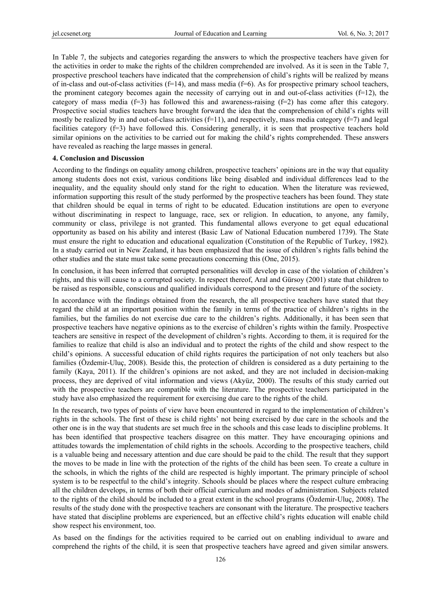In Table 7, the subjects and categories regarding the answers to which the prospective teachers have given for the activities in order to make the rights of the children comprehended are involved. As it is seen in the Table 7, prospective preschool teachers have indicated that the comprehension of child's rights will be realized by means of in-class and out-of-class activities  $(f=14)$ , and mass media  $(f=6)$ . As for prospective primary school teachers, the prominent category becomes again the necessity of carrying out in and out-of-class activities (f=12), the category of mass media ( $f=3$ ) has followed this and awareness-raising ( $f=2$ ) has come after this category. Prospective social studies teachers have brought forward the idea that the comprehension of child's rights will mostly be realized by in and out-of-class activities  $(f=11)$ , and respectively, mass media category  $(f=7)$  and legal facilities category (f=3) have followed this. Considering generally, it is seen that prospective teachers hold similar opinions on the activities to be carried out for making the child's rights comprehended. These answers have revealed as reaching the large masses in general.

#### **4. Conclusion and Discussion**

According to the findings on equality among children, prospective teachers' opinions are in the way that equality among students does not exist, various conditions like being disabled and individual differences lead to the inequality, and the equality should only stand for the right to education. When the literature was reviewed, information supporting this result of the study performed by the prospective teachers has been found. They state that children should be equal in terms of right to be educated. Education institutions are open to everyone without discriminating in respect to language, race, sex or religion. In education, to anyone, any family, community or class, privilege is not granted. This fundamental allows everyone to get equal educational opportunity as based on his ability and interest (Basic Law of National Education numbered 1739). The State must ensure the right to education and educational equalization (Constitution of the Republic of Turkey, 1982). In a study carried out in New Zealand, it has been emphasized that the issue of children's rights falls behind the other studies and the state must take some precautions concerning this (One, 2015).

In conclusion, it has been inferred that corrupted personalities will develop in case of the violation of children's rights, and this will cause to a corrupted society. In respect thereof, Aral and Gürsoy (2001) state that children to be raised as responsible, conscious and qualified individuals correspond to the present and future of the society.

In accordance with the findings obtained from the research, the all prospective teachers have stated that they regard the child at an important position within the family in terms of the practice of children's rights in the families, but the families do not exercise due care to the children's rights. Additionally, it has been seen that prospective teachers have negative opinions as to the exercise of children's rights within the family. Prospective teachers are sensitive in respect of the development of children's rights. According to them, it is required for the families to realize that child is also an individual and to protect the rights of the child and show respect to the child's opinions. A successful education of child rights requires the participation of not only teachers but also families (Özdemir-Uluç, 2008). Beside this, the protection of children is considered as a duty pertaining to the family (Kaya, 2011). If the children's opinions are not asked, and they are not included in decision-making process, they are deprived of vital information and views (Akyüz, 2000). The results of this study carried out with the prospective teachers are compatible with the literature. The prospective teachers participated in the study have also emphasized the requirement for exercising due care to the rights of the child.

In the research, two types of points of view have been encountered in regard to the implementation of children's rights in the schools. The first of these is child rights' not being exercised by due care in the schools and the other one is in the way that students are set much free in the schools and this case leads to discipline problems. It has been identified that prospective teachers disagree on this matter. They have encouraging opinions and attitudes towards the implementation of child rights in the schools. According to the prospective teachers, child is a valuable being and necessary attention and due care should be paid to the child. The result that they support the moves to be made in line with the protection of the rights of the child has been seen. To create a culture in the schools, in which the rights of the child are respected is highly important. The primary principle of school system is to be respectful to the child's integrity. Schools should be places where the respect culture embracing all the children develops, in terms of both their official curriculum and modes of administration. Subjects related to the rights of the child should be included to a great extent in the school programs (Özdemir-Uluç, 2008). The results of the study done with the prospective teachers are consonant with the literature. The prospective teachers have stated that discipline problems are experienced, but an effective child's rights education will enable child show respect his environment, too.

As based on the findings for the activities required to be carried out on enabling individual to aware and comprehend the rights of the child, it is seen that prospective teachers have agreed and given similar answers.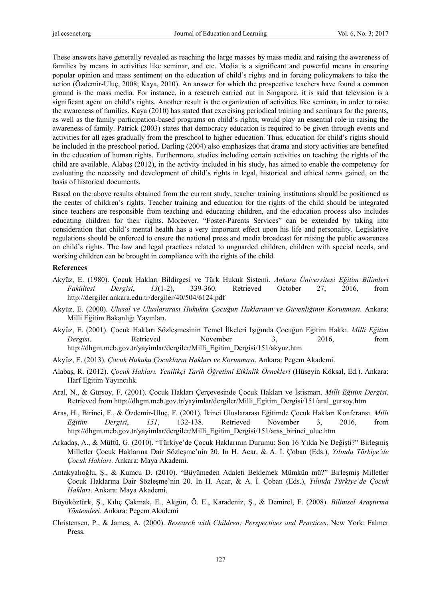These answers have generally revealed as reaching the large masses by mass media and raising the awareness of families by means in activities like seminar, and etc. Media is a significant and powerful means in ensuring popular opinion and mass sentiment on the education of child's rights and in forcing policymakers to take the action (Özdemir-Uluç, 2008; Kaya, 2010). An answer for which the prospective teachers have found a common ground is the mass media. For instance, in a research carried out in Singapore, it is said that television is a significant agent on child's rights. Another result is the organization of activities like seminar, in order to raise the awareness of families. Kaya (2010) has stated that exercising periodical training and seminars for the parents, as well as the family participation-based programs on child's rights, would play an essential role in raising the awareness of family. Patrick (2003) states that democracy education is required to be given through events and activities for all ages gradually from the preschool to higher education. Thus, education for child's rights should be included in the preschool period. Darling (2004) also emphasizes that drama and story activities are benefited in the education of human rights. Furthermore, studies including certain activities on teaching the rights of the child are available. Alabaş (2012), in the activity included in his study, has aimed to enable the competency for evaluating the necessity and development of child's rights in legal, historical and ethical terms gained, on the basis of historical documents.

Based on the above results obtained from the current study, teacher training institutions should be positioned as the center of children's rights. Teacher training and education for the rights of the child should be integrated since teachers are responsible from teaching and educating children, and the education process also includes educating children for their rights. Moreover, "Foster-Parents Services" can be extended by taking into consideration that child's mental health has a very important effect upon his life and personality. Legislative regulations should be enforced to ensure the national press and media broadcast for raising the public awareness on child's rights. The law and legal practices related to unguarded children, children with special needs, and working children can be brought in compliance with the rights of the child.

#### **References**

- Akyüz, E. (1980). Çocuk Hakları Bildirgesi ve Türk Hukuk Sistemi. *Ankara Üniversitesi Eğitim Bilimleri Fakültesi Dergisi*, *13*(1-2), 339-360. Retrieved October 27, 2016, from http://dergiler.ankara.edu.tr/dergiler/40/504/6124.pdf
- Akyüz, E. (2000). *Ulusal ve Uluslararası Hukukta Çocuğun Haklarının ve Güvenliğinin Korunması*. Ankara: Milli Eğitim Bakanlığı Yayınları.
- Akyüz, E. (2001). Çocuk Hakları Sözleşmesinin Temel İlkeleri Işığında Çocuğun Eğitim Hakkı. *Milli Eğitim Dergisi*. Retrieved November 3, 2016, from http://dhgm.meb.gov.tr/yayimlar/dergiler/Milli\_Egitim\_Dergisi/151/akyuz.htm
- Akyüz, E. (2013). *Çocuk Hukuku Çocukların Hakları ve Korunması*. Ankara: Pegem Akademi.
- Alabaş, R. (2012). *Çocuk Hakları. Yenilikçi Tarih Öğretimi Etkinlik Örnekleri* (Hüseyin Köksal, Ed.). Ankara: Harf Eğitim Yayıncılık.
- Aral, N., & Gürsoy, F. (2001). Çocuk Hakları Çerçevesinde Çocuk Hakları ve İstismarı. *Milli Eğitim Dergisi*. Retrieved from http://dhgm.meb.gov.tr/yayimlar/dergiler/Milli\_Egitim\_Dergisi/151/aral\_gursoy.htm
- Aras, H., Birinci, F., & Özdemir-Uluç, F. (2001). İkinci Uluslararası Eğitimde Çocuk Hakları Konferansı. *Milli Eğitim Dergisi*, *151*, 132-138. Retrieved November 3, 2016, from http://dhgm.meb.gov.tr/yayimlar/dergiler/Milli\_Egitim\_Dergisi/151/aras\_birinci\_uluc.htm
- Arkadaş, A., & Müftü, G. (2010). "Türkiye'de Çocuk Haklarının Durumu: Son 16 Yılda Ne Değişti?" Birleşmiş Milletler Çocuk Haklarına Dair Sözleşme'nin 20. In H. Acar, & A. İ. Çoban (Eds.), *Yılında Türkiye'de Çocuk Hakları*. Ankara: Maya Akademi.
- Antakyalıoğlu, Ş., & Kumcu D. (2010). "Büyümeden Adaleti Beklemek Mümkün mü?" Birleşmiş Milletler Çocuk Haklarına Dair Sözleşme'nin 20. In H. Acar, & A. İ. Çoban (Eds.), *Yılında Türkiye'de Çocuk Hakları*. Ankara: Maya Akademi.
- Büyüköztürk, Ş., Kılıç Çakmak, E., Akgün, Ö. E., Karadeniz, Ş., & Demirel, F. (2008). *Bilimsel Araştırma Yöntemleri*. Ankara: Pegem Akademi
- Christensen, P., & James, A. (2000). *Research with Children: Perspectives and Practices*. New York: Falmer Press.